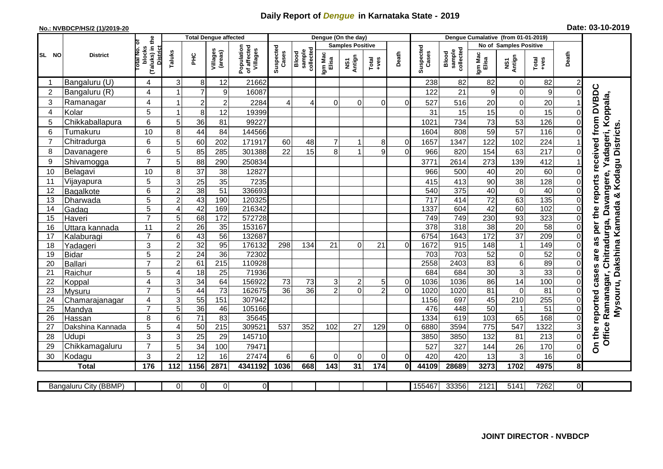## **Daily Report of** *Dengue* **in Karnataka State - 2019**

## **No.: NVBDCP/HS/2 (1)/2019-20 Date: 03-10-2019**

|                |                       |                                                              |                | <b>Total Dengue affected</b> |                     |                                       |                    | Dengue (On the day)<br>Dengue Cumalative (from 01-01-2019)<br><b>Samples Positive</b><br>No of Samples Positive |                  |               |                  |                |                    |                              |                  |                  |                  |                         |                                                                   |
|----------------|-----------------------|--------------------------------------------------------------|----------------|------------------------------|---------------------|---------------------------------------|--------------------|-----------------------------------------------------------------------------------------------------------------|------------------|---------------|------------------|----------------|--------------------|------------------------------|------------------|------------------|------------------|-------------------------|-------------------------------------------------------------------|
|                |                       |                                                              |                |                              |                     |                                       |                    |                                                                                                                 |                  |               |                  |                |                    |                              |                  |                  |                  |                         |                                                                   |
| SL NO          | <b>District</b>       | (Taluks) in the<br>Total No. of<br>blocks<br><b>District</b> | Taluks         | Ξ                            | Villages<br>(areas) | Population<br>of affected<br>Villages | Suspected<br>Cases | sample<br>collected<br>Blood                                                                                    | Igm Mac<br>Elisa | NS1<br>Antign | $Tota$<br>$+ves$ | Death          | Suspected<br>Cases | collected<br>Blood<br>sample | Igm Mac<br>Elisa | NS1<br>Antign    | Total<br>$+ve$ s | Death                   |                                                                   |
| -1             | Bangaluru (U)         | 4                                                            | 3              | 8                            | 12                  | 21662                                 |                    |                                                                                                                 |                  |               |                  |                | 238                | 82                           | 82               | $\pmb{0}$        | 82               | $\overline{c}$          |                                                                   |
| 2              | Bangaluru (R)         | 4                                                            |                | $\overline{7}$               | 9                   | 16087                                 |                    |                                                                                                                 |                  |               |                  |                | 122                | 21                           | 9                | $\mathbf 0$      | 9                | $\mathsf{O}\xspace$     |                                                                   |
| 3              | Ramanagar             | 4                                                            |                | $\overline{c}$               | $\overline{c}$      | 2284                                  | 4                  | 4                                                                                                               | 0                | 0             | $\overline{0}$   | $\Omega$       | 527                | 516                          | 20               | 0                | 20               |                         | received from DVBDC<br>Chitradurga, Davangere, Yadageri, Koppala, |
| 4              | Kolar                 | 5                                                            |                | 8                            | 12                  | 19399                                 |                    |                                                                                                                 |                  |               |                  |                | 31                 | 15                           | 15               | $\mathbf 0$      | 15               | $\mathbf 0$             |                                                                   |
| 5              | Chikkaballapura       | 6                                                            | 5              | 36                           | 81                  | 99227                                 |                    |                                                                                                                 |                  |               |                  |                | 1021               | 734                          | 73               | 53               | 126              | $\mathsf{O}\xspace$     |                                                                   |
| 6              | Tumakuru              | 10                                                           | 8              | 44                           | 84                  | 144566                                |                    |                                                                                                                 |                  |               |                  |                | 1604               | 808                          | 59               | 57               | 116              | $\overline{0}$          |                                                                   |
| $\overline{7}$ | Chitradurga           | 6                                                            | 5              | 60                           | 202                 | 171917                                | 60                 | 48                                                                                                              | 7                |               | 8                | 0              | 1657               | 1347                         | 122              | 102              | 224              |                         |                                                                   |
| 8              | Davanagere            | 6                                                            | 5              | 85                           | 285                 | 301388                                | 22                 | 15                                                                                                              | 8                |               | 9                | $\Omega$       | 966                | 820                          | 154              | 63               | $\overline{217}$ | $\mathbf 0$             |                                                                   |
| 9              | Shivamogga            | $\overline{7}$                                               | 5              | 88                           | 290                 | 250834                                |                    |                                                                                                                 |                  |               |                  |                | 3771               | 2614                         | 273              | 139              | 412              |                         | Kodagu Districts.                                                 |
| 10             | Belagavi              | 10                                                           | 8              | 37                           | 38                  | 12827                                 |                    |                                                                                                                 |                  |               |                  |                | 966                | 500                          | 40               | 20               | 60               | $\Omega$                |                                                                   |
| 11             | Vijayapura            | 5                                                            | 3              | 25                           | 35                  | 7235                                  |                    |                                                                                                                 |                  |               |                  |                | 415                | 413                          | 90               | $\overline{38}$  | 128              | 0                       | reports                                                           |
| 12             | Bagalkote             | 6                                                            | $\overline{2}$ | 38                           | 51                  | 336693                                |                    |                                                                                                                 |                  |               |                  |                | 540                | 375                          | 40               | $\overline{0}$   | 40               | $\mathbf 0$             |                                                                   |
| 13             | Dharwada              | $\overline{5}$                                               | $\overline{c}$ | 43                           | 190                 | 120325                                |                    |                                                                                                                 |                  |               |                  |                | $\overline{717}$   | 414                          | $\overline{72}$  | 63               | $\overline{135}$ | $\mathbf 0$             | ×                                                                 |
| 14             | Gadag                 | 5                                                            | $\overline{4}$ | 42                           | 169                 | 216342                                |                    |                                                                                                                 |                  |               |                  |                | 1337               | 604                          | 42               | 60               | 102              | $\overline{\mathsf{o}}$ | Mysouru, Dakshina Kannada<br>the                                  |
| 15             | Haveri                | $\overline{7}$                                               | 5              | 68                           | 172                 | 572728                                |                    |                                                                                                                 |                  |               |                  |                | 749                | 749                          | 230              | 93               | 323              | 0                       |                                                                   |
| 16             | Uttara kannada        | 11                                                           | $\overline{2}$ | $\overline{26}$              | $\overline{35}$     | 153167                                |                    |                                                                                                                 |                  |               |                  |                | 378                | 318                          | $\overline{38}$  | 20               | 58               | $\mathsf{O}\xspace$     | per                                                               |
| 17             | Kalaburagi            | $\overline{7}$                                               | 6              | 43                           | $\overline{56}$     | 132687                                |                    |                                                                                                                 |                  |               |                  |                | 6754               | 1643                         | 172              | 37               | 209              | $\mathbf 0$             | as                                                                |
| 18             | Yadageri              | 3                                                            | $\overline{c}$ | 32                           | 95                  | 176132                                | 298                | 134                                                                                                             | 21               | $\Omega$      | 21               | $\Omega$       | 1672               | 915                          | 148              | $\overline{1}$   | 149              | $\mathbf 0$             |                                                                   |
| 19             | <b>Bidar</b>          | 5                                                            | $\overline{2}$ | $\overline{24}$              | 36                  | 72302                                 |                    |                                                                                                                 |                  |               |                  |                | 703                | 703                          | 52               | $\mathbf 0$      | 52               | 0                       | are                                                               |
| 20             | <b>Ballari</b>        | $\overline{7}$                                               | $\overline{2}$ | 61                           | $\overline{215}$    | 110928                                |                    |                                                                                                                 |                  |               |                  |                | 2558               | 2403                         | 83               | $\overline{6}$   | 89               | 0                       |                                                                   |
| 21             | Raichur               | 5                                                            | $\overline{A}$ | $\overline{18}$              | $\overline{25}$     | 71936                                 |                    |                                                                                                                 |                  |               |                  |                | 684                | 684                          | $\overline{30}$  | $\overline{3}$   | 33               | $\mathbf 0$             | cases                                                             |
| 22             | Koppal                | 4                                                            | 3              | $\overline{34}$              | 64                  | 156922                                | 73                 | 73                                                                                                              | 3                | 2             | 5                | 0              | 1036               | 1036                         | 86               | 14               | 100              | $\mathbf 0$             | Ramanagar,                                                        |
| 23             | Mysuru                | $\overline{7}$                                               | 5              | 44                           | $\overline{73}$     | 162675                                | $\overline{36}$    | 36                                                                                                              | $\overline{2}$   | $\Omega$      | $\overline{2}$   | $\overline{0}$ | 1020               | 1020                         | $\overline{81}$  | $\boldsymbol{0}$ | $\overline{81}$  | $\mathsf{O}\xspace$     |                                                                   |
| 24             | Chamarajanagar        | 4                                                            | 3              | 55                           | 151                 | 307942                                |                    |                                                                                                                 |                  |               |                  |                | 1156               | 697                          | 45               | 210              | 255              | $\mathbf 0$             | reported                                                          |
| 25             | Mandya                | $\overline{7}$                                               | 5              | 36                           | 46                  | 105166                                |                    |                                                                                                                 |                  |               |                  |                | 476                | 448                          | $\overline{50}$  | $\overline{1}$   | $\overline{51}$  | $\pmb{0}$               |                                                                   |
| 26             | Hassan                | 8                                                            | 6              | $\overline{71}$              | 83                  | 35645                                 |                    |                                                                                                                 |                  |               |                  |                | 1334               | 619                          | 103              | 65               | 168              | $\overline{0}$          |                                                                   |
| 27             | Dakshina Kannada      | 5                                                            | $\overline{A}$ | 50                           | 215                 | 30952                                 | 537                | 352                                                                                                             | 102              | 27            | 129              | $\Omega$       | 6880               | 3594                         | $\overline{775}$ | 547              | 1322             | $\mathbf{3}$            |                                                                   |
| 28             | Udupi                 | 3                                                            | 3              | 25                           | 29                  | 145710                                |                    |                                                                                                                 |                  |               |                  |                | 3850               | 3850                         | 132              | 81               | 213              | $\mathsf{O}\xspace$     | Office<br>On the                                                  |
| 29             | Chikkamagaluru        | $\overline{7}$                                               | 5              | 34                           | 100                 | 79471                                 |                    |                                                                                                                 |                  |               |                  |                | 527                | 327                          | 144              | 26               | 170              | $\mathbf 0$             |                                                                   |
| 30             | Kodagu                | 3                                                            | $\overline{2}$ | 12                           | 16                  | 27474                                 | 6                  | 6                                                                                                               | 0                | $\Omega$      | $\overline{0}$   | $\mathbf 0$    | 420                | 420                          | 13               | $\mathbf{3}$     | 16               | $\mathsf{O}\xspace$     |                                                                   |
|                | <b>Total</b>          | 176                                                          | 112            | 1156                         | 2871                | 4341192                               | 1036               | 668                                                                                                             | 143              | 31            | 174              | 0              | 44109              | 28689                        | 3273             | 1702             | 4975             | 8                       |                                                                   |
|                |                       |                                                              |                |                              |                     |                                       |                    |                                                                                                                 |                  |               |                  |                | 155467             | 33356                        | 2121             |                  |                  |                         |                                                                   |
|                | Bangaluru City (BBMP) |                                                              | $\Omega$       | $\overline{0}$               | $\overline{0}$      | $\mathbf{0}$                          |                    |                                                                                                                 |                  |               |                  |                |                    |                              |                  | 5141             | 7262             | $\overline{0}$          |                                                                   |